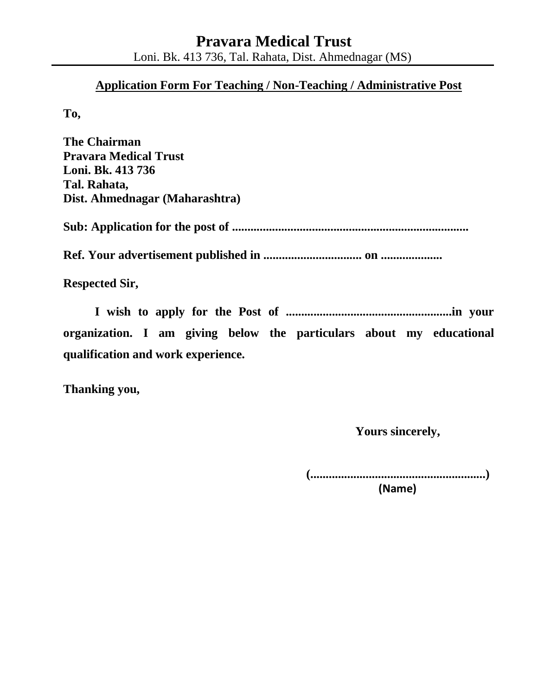### **Application Form For Teaching / Non-Teaching / Administrative Post**

**To,** 

**The Chairman Pravara Medical Trust Loni. Bk. 413 736 Tal. Rahata, Dist. Ahmednagar (Maharashtra) Sub: Application for the post of ............................................................................. Ref. Your advertisement published in ................................ on .................... Respected Sir,** 

**I wish to apply for the Post of ......................................................in your organization. I am giving below the particulars about my educational qualification and work experience.** 

**Thanking you,** 

 **Yours sincerely,** 

 **(.........................................................)** 

 **(Name)**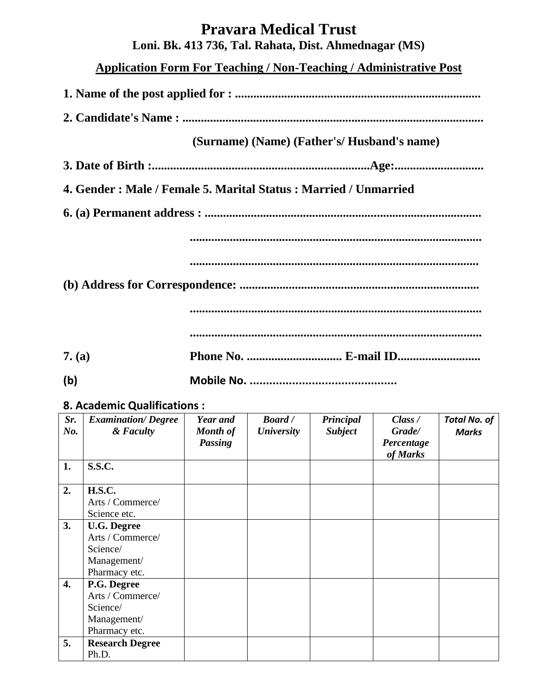# **Pravara Medical Trust**

**Loni. Bk. 413 736, Tal. Rahata, Dist. Ahmednagar (MS)** 

**Application Form For Teaching / Non-Teaching / Administrative Post**

**1. Name of the post applied for : ................................................................................** 

**2. Candidate's Name : ..................................................................................................** 

 **(Surname) (Name) (Father's/ Husband's name)** 

**3. Date of Birth :.......................................................................Age:.............................** 

**4. Gender : Male / Female 5. Marital Status : Married / Unmarried** 

**6. (a) Permanent address : ..........................................................................................** 

**...............................................................................................** 

**..............................................................................................** 

**(b) Address for Correspondence: ..............................................................................** 

**...............................................................................................** 

**...............................................................................................** 

- **7. (a) Phone No. ............................... E-mail ID...........................**
- **(b) Mobile No. .............................................**

#### **8. Academic Qualifications :**

| Sr.<br>No. | <b>Examination/Degree</b><br>& Faculty | Year and<br>Month of<br><b>Passing</b> | <b>Board</b> /<br><b>University</b> | Principal<br><b>Subject</b> | Class /<br>Grade/<br>Percentage | <b>Total No. of</b><br><b>Marks</b> |
|------------|----------------------------------------|----------------------------------------|-------------------------------------|-----------------------------|---------------------------------|-------------------------------------|
|            |                                        |                                        |                                     |                             | of Marks                        |                                     |
| 1.         | <b>S.S.C.</b>                          |                                        |                                     |                             |                                 |                                     |
| 2.         | <b>H.S.C.</b>                          |                                        |                                     |                             |                                 |                                     |
|            | Arts / Commerce/                       |                                        |                                     |                             |                                 |                                     |
|            | Science etc.                           |                                        |                                     |                             |                                 |                                     |
| 3.         | <b>U.G. Degree</b>                     |                                        |                                     |                             |                                 |                                     |
|            | Arts / Commerce/                       |                                        |                                     |                             |                                 |                                     |
|            | Science/                               |                                        |                                     |                             |                                 |                                     |
|            | Management/                            |                                        |                                     |                             |                                 |                                     |
|            | Pharmacy etc.                          |                                        |                                     |                             |                                 |                                     |
| 4.         | P.G. Degree                            |                                        |                                     |                             |                                 |                                     |
|            | Arts / Commerce/                       |                                        |                                     |                             |                                 |                                     |
|            | Science/                               |                                        |                                     |                             |                                 |                                     |
|            | Management/                            |                                        |                                     |                             |                                 |                                     |
|            | Pharmacy etc.                          |                                        |                                     |                             |                                 |                                     |
| 5.         | <b>Research Degree</b><br>Ph.D.        |                                        |                                     |                             |                                 |                                     |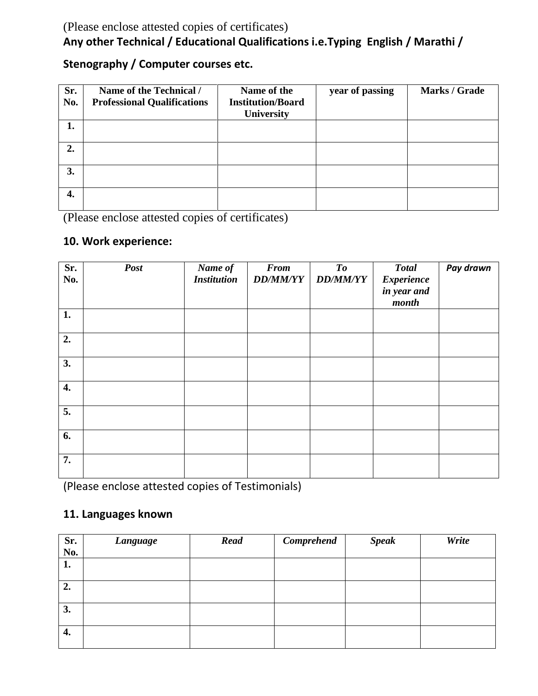## (Please enclose attested copies of certificates) **Any other Technical / Educational Qualifications i.e.Typing English / Marathi /**

## **Stenography / Computer courses etc.**

| Sr.<br>No. | Name of the Technical /<br><b>Professional Qualifications</b> | Name of the<br><b>Institution/Board</b><br><b>University</b> | year of passing | Marks / Grade |
|------------|---------------------------------------------------------------|--------------------------------------------------------------|-----------------|---------------|
| 1.         |                                                               |                                                              |                 |               |
| 2.         |                                                               |                                                              |                 |               |
| 3.         |                                                               |                                                              |                 |               |
| 4.         |                                                               |                                                              |                 |               |

(Please enclose attested copies of certificates)

## **10. Work experience:**

| Sr.<br>No. | <b>Post</b> | Name of<br><b>Institution</b> | <b>From</b><br><b>DD/MM/YY</b> | To<br><b>DD/MM/YY</b> | <b>Total</b><br><b>Experience</b><br>in year and<br>month | Pay drawn |
|------------|-------------|-------------------------------|--------------------------------|-----------------------|-----------------------------------------------------------|-----------|
| 1.         |             |                               |                                |                       |                                                           |           |
| 2.         |             |                               |                                |                       |                                                           |           |
| 3.         |             |                               |                                |                       |                                                           |           |
| 4.         |             |                               |                                |                       |                                                           |           |
| 5.         |             |                               |                                |                       |                                                           |           |
| 6.         |             |                               |                                |                       |                                                           |           |
| 7.         |             |                               |                                |                       |                                                           |           |

(Please enclose attested copies of Testimonials)

## **11. Languages known**

| Sr.<br>No. | <b>Language</b> | <b>Read</b> | Comprehend | <b>Speak</b> | Write |
|------------|-----------------|-------------|------------|--------------|-------|
| 1.         |                 |             |            |              |       |
| 2.         |                 |             |            |              |       |
| 3.         |                 |             |            |              |       |
| 4.         |                 |             |            |              |       |